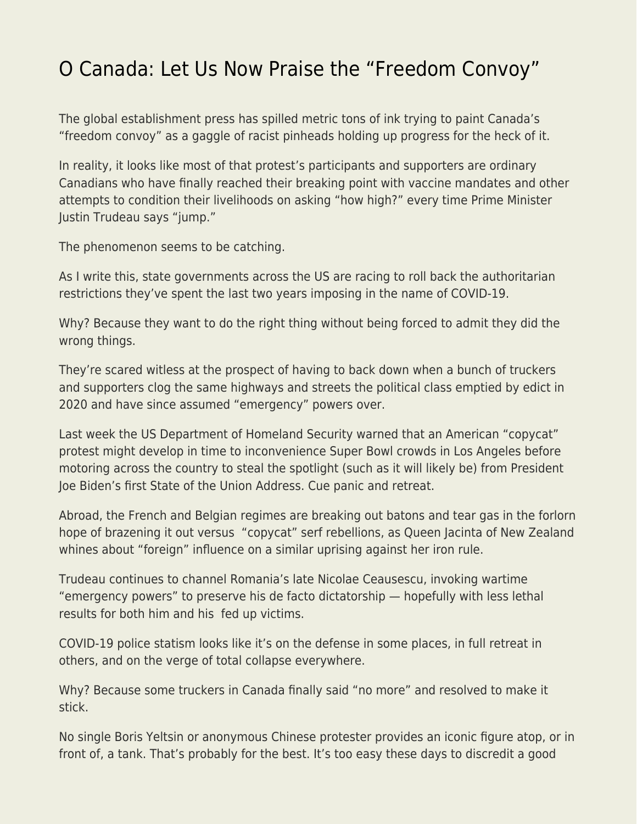## [O Canada: Let Us Now Praise the "Freedom Convoy"](https://everything-voluntary.com/o-canada-let-us-now-praise-the-freedom-convoy)

The global establishment press has spilled metric tons of ink trying to paint Canada's "freedom convoy" as a gaggle of racist pinheads holding up progress for the heck of it.

In reality, it looks like most of that protest's participants and supporters are ordinary Canadians who have finally reached their breaking point with vaccine mandates and other attempts to condition their livelihoods on asking "how high?" every time Prime Minister Justin Trudeau says "jump."

The phenomenon seems to be catching.

As I write this, state governments across the US are racing to roll back the authoritarian restrictions they've spent the last two years imposing in the name of COVID-19.

Why? Because they want to do the right thing without being forced to admit they did the wrong things.

They're scared witless at the prospect of having to back down when a bunch of truckers and supporters clog the same highways and streets the political class emptied by edict in 2020 and have since assumed "emergency" powers over.

Last week the US Department of Homeland Security warned that an American "copycat" protest might develop in time to inconvenience Super Bowl crowds in Los Angeles before motoring across the country to steal the spotlight (such as it will likely be) from President Joe Biden's first State of the Union Address. Cue panic and retreat.

Abroad, the French and Belgian regimes are breaking out batons and tear gas in the forlorn hope of brazening it out versus "copycat" serf rebellions, as Queen Jacinta of New Zealand whines about "foreign" influence on a similar uprising against her iron rule.

Trudeau continues to channel Romania's late Nicolae Ceausescu, invoking wartime "emergency powers" to preserve his de facto dictatorship — hopefully with less lethal results for both him and his fed up victims.

COVID-19 police statism looks like it's on the defense in some places, in full retreat in others, and on the verge of total collapse everywhere.

Why? Because some truckers in Canada finally said "no more" and resolved to make it stick.

No single Boris Yeltsin or anonymous Chinese protester provides an iconic figure atop, or in front of, a tank. That's probably for the best. It's too easy these days to discredit a good